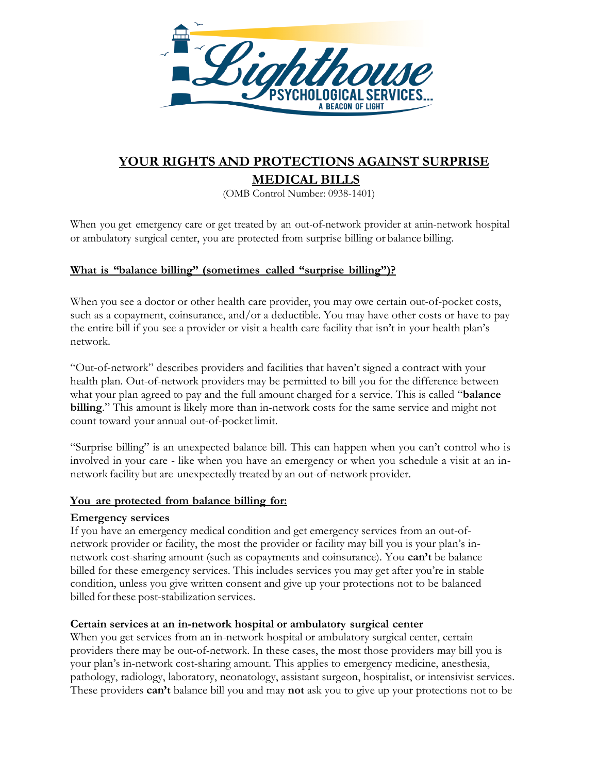

# **YOUR RIGHTS AND PROTECTIONS AGAINST SURPRISE MEDICAL BILLS**

(OMB Control Number: 0938-1401)

When you get emergency care or get treated by an out-of-network provider at anin-network hospital or ambulatory surgical center, you are protected from surprise billing or balance billing.

## **What is "balance billing" (sometimes called "surprise billing")?**

When you see a doctor or other health care provider, you may owe certain out-of-pocket costs, such as a copayment, coinsurance, and/or a deductible. You may have other costs or have to pay the entire bill if you see a provider or visit a health care facility that isn't in your health plan's network.

"Out-of-network" describes providers and facilities that haven't signed a contract with your health plan. Out-of-network providers may be permitted to bill you for the difference between what your plan agreed to pay and the full amount charged for a service. This is called "**balance billing**." This amount is likely more than in-network costs for the same service and might not count toward your annual out-of-pocket limit.

"Surprise billing" is an unexpected balance bill. This can happen when you can't control who is involved in your care - like when you have an emergency or when you schedule a visit at an innetwork facility but are unexpectedly treated by an out-of-network provider.

#### **You are protected from balance billing for:**

#### **Emergency services**

If you have an emergency medical condition and get emergency services from an out-ofnetwork provider or facility, the most the provider or facility may bill you is your plan's innetwork cost-sharing amount (such as copayments and coinsurance). You **can't** be balance billed for these emergency services. This includes services you may get after you're in stable condition, unless you give written consent and give up your protections not to be balanced billed forthese post-stabilization services.

#### **Certain services at an in-network hospital or ambulatory surgical center**

When you get services from an in-network hospital or ambulatory surgical center, certain providers there may be out-of-network. In these cases, the most those providers may bill you is your plan's in-network cost-sharing amount. This applies to emergency medicine, anesthesia, pathology, radiology, laboratory, neonatology, assistant surgeon, hospitalist, or intensivist services. These providers **can't** balance bill you and may **not** ask you to give up your protections not to be